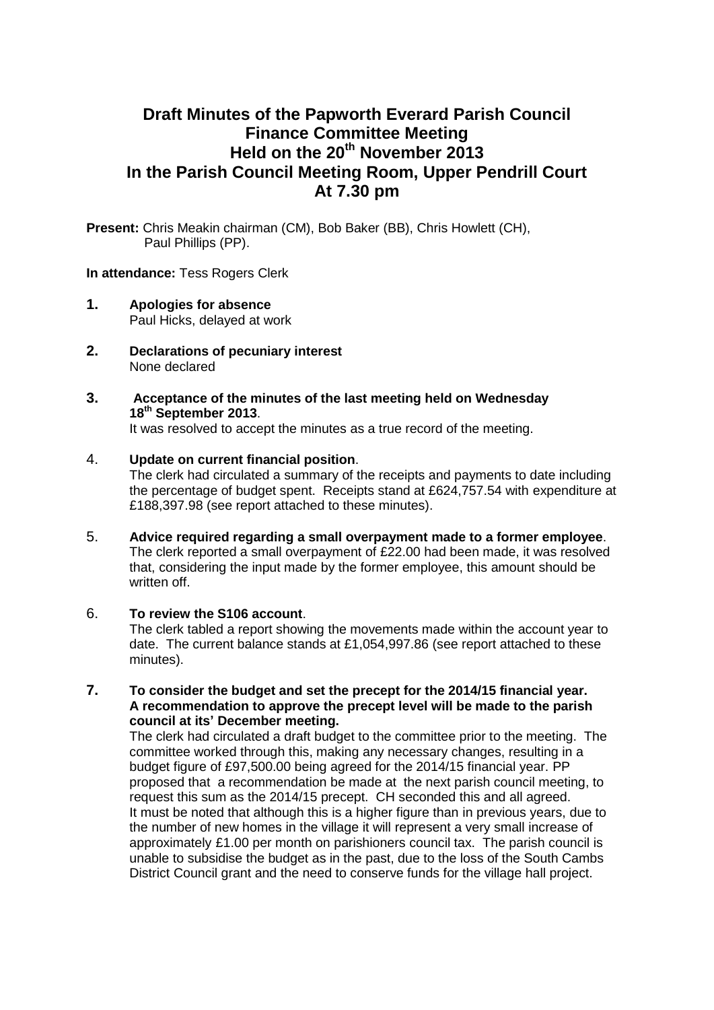# **Draft Minutes of the Papworth Everard Parish Council Finance Committee Meeting Held on the 20th November 2013 In the Parish Council Meeting Room, Upper Pendrill Court At 7.30 pm**

**Present:** Chris Meakin chairman (CM), Bob Baker (BB), Chris Howlett (CH), Paul Phillips (PP).

#### **In attendance:** Tess Rogers Clerk

- **1. Apologies for absence** Paul Hicks, delayed at work
- **2. Declarations of pecuniary interest** None declared
- **3. Acceptance of the minutes of the last meeting held on Wednesday 18th September 2013**.

It was resolved to accept the minutes as a true record of the meeting.

### 4. **Update on current financial position**.

The clerk had circulated a summary of the receipts and payments to date including the percentage of budget spent. Receipts stand at £624,757.54 with expenditure at £188,397.98 (see report attached to these minutes).

- 5. **Advice required regarding a small overpayment made to a former employee**. The clerk reported a small overpayment of £22.00 had been made, it was resolved that, considering the input made by the former employee, this amount should be written off.
- 6. **To review the S106 account**. The clerk tabled a report showing the movements made within the account year to date. The current balance stands at £1,054,997.86 (see report attached to these minutes).
- **7. To consider the budget and set the precept for the 2014/15 financial year. A recommendation to approve the precept level will be made to the parish council at its' December meeting.**

The clerk had circulated a draft budget to the committee prior to the meeting. The committee worked through this, making any necessary changes, resulting in a budget figure of £97,500.00 being agreed for the 2014/15 financial year. PP proposed that a recommendation be made at the next parish council meeting, to request this sum as the 2014/15 precept. CH seconded this and all agreed. It must be noted that although this is a higher figure than in previous years, due to the number of new homes in the village it will represent a very small increase of approximately £1.00 per month on parishioners council tax. The parish council is unable to subsidise the budget as in the past, due to the loss of the South Cambs District Council grant and the need to conserve funds for the village hall project.